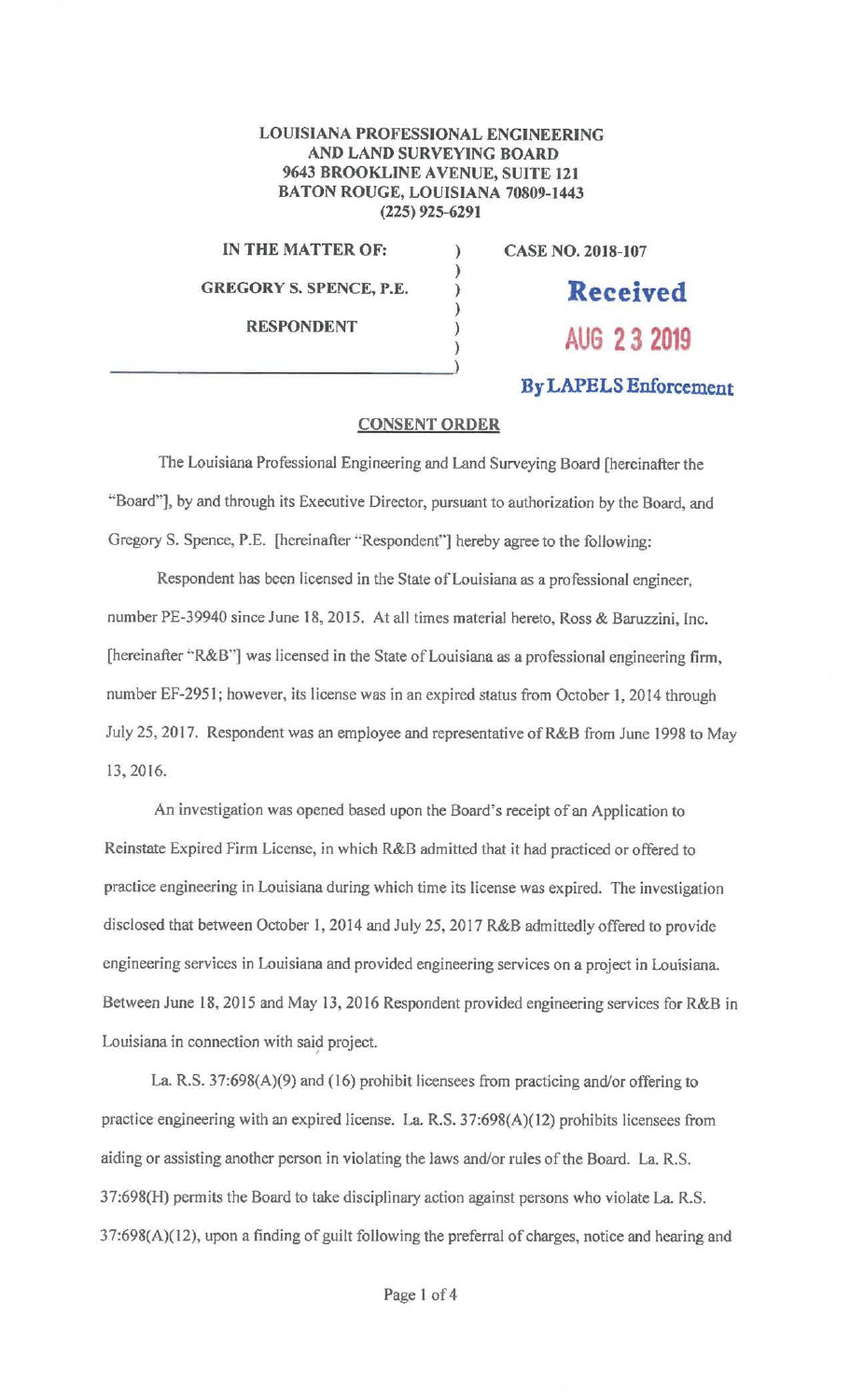## LOUISIANA PROFESSIONAL ENGINEERING AND LAND SURVEYING BOARD 9643 BROOKLINE AVENUE, SUITE 121 BATON ROUGE, LOUISIANA 70809-1443 (225) 925-6291

) ) ) ) ) )

**IN THE MATTER OF:** 

**GREGORY S. SPENCE, P.E.** 

**CASE NO. 2018-107** 

**RESPONDENT** 

**Received AUG 2 3 2019** 

## **By LAPELS Enforcement**

## **CONSENT ORDER**

The Louisiana Professional Engineering and Land Surveying Board [hereinafter the "Board"), by and through its Executive Director, pursuant to authorization by the Board, and Gregory S. Spence, P.E. [hereinafter "Respondent"] hereby agree to the following:

Respondent has been licensed in the State of Louisiana as a professional engineer, number PE-39940 since June 18, 2015. At all times material hereto, Ross & Baruzzini, Inc. [hereinafter "R&B"] was licensed in the State of Louisiana as a professional engineering firm, number EF-2951; however, its license was in an expired status from October I, 2014 through July 25, 2017. Respondent was an employee and representative of R&B from June 1998 to May 13, 2016.

An investigation was opened based upon the Board's receipt of an Application to Reinstate Expired Firm License, in which R&B admitted that it had practiced or offered to practice engineering in Louisiana during which time its license was expired. The investigation disclosed that between October 1, 2014 and July 25, 2017 R&B admittedly offered to provide engineering services in Louisiana and provided engineering services on a project in Louisiana. Between June 18, 2015 and May 13, 2016 Respondent provided engineering services for R&B in Louisiana in connection with said project.

La. R.S. 37:698(A)(9) and (16) prohibit licensees from practicing and/or offering to practice engineering with an expired license. La. R.S. 37:698(A)(l2) prohibits licensees from aiding or assisting another person in violating the laws and/or rules of the Board. La. R.S. 37:698(H) permits the Board to take disciplinary action against persons who violate La. R.S. 37:698(A)(12), upon a finding of guilt following the preferral of charges, notice and hearing and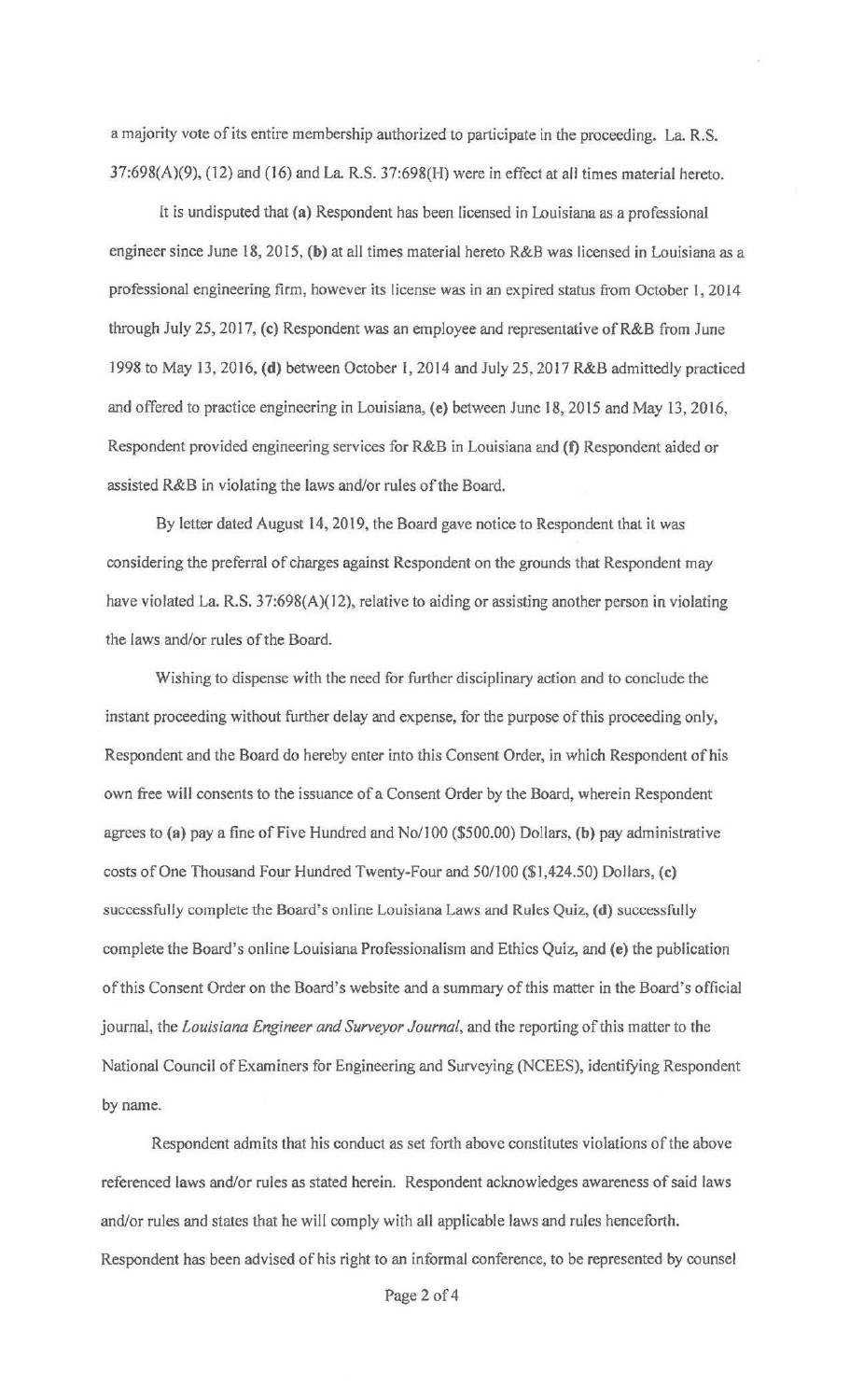a majority vote of its entire membership authorized to participate in the proceeding. La. R.S.  $37:698(A)(9)$ ,  $(12)$  and  $(16)$  and La. R.S.  $37:698(H)$  were in effect at all times material hereto.

It is undisputed that **(a)** Respondent has been licensed in Louisiana as a professional engineer since June 18, 2015, **(b)** at all times material hereto R&B was licensed in Louisiana as a professional engineering firm, however its license was in an expired status from October 1, 2014 through July 25, 2017, (c) Respondent was an employee and representative of R&B from June 1998 to May 13, 2016, **(d)** between October I, 2014 and July 25, 2017 R&B admittedly practiced and offered to practice engineering in Louisiana, **(e)** between June 18, 2015 and May 13, 2016, Respondent provided engineering services for R&B in Louisiana and **(t)** Respondent aided or assisted R&B in violating the laws and/or rules of the Board.

By letter dated August 14, 2019, the Board gave notice to Respondent that it was considering the preferral of charges against Respondent on the grounds that Respondent may have violated La. R.S. 37:698(A)(12), relative to aiding or assisting another person in violating the laws and/or rules of the Board.

Wishing to dispense with the need for further disciplinary action and to conclude the instant proceeding without further delay and expense, for the purpose of this proceeding only, Respondent and the Board do hereby enter into this Consent Order, in which Respondent of his own free will consents to the issuance of a Consent Order by the Board, wherein Respondent agrees to **(a)** pay a fine of Five Hundred and No/100 (\$500.00) Dollars. **(b)** pay administrative costs of One Thousand Four Hundred Twenty-Four and 50/100 (\$1,424.50) Dollars, (c) successfully complete the Board's online Louisiana Laws and Rules Quiz, **(d)** successfully complete the Board's online Louisiana Professionalism and Ethics Quiz, and (e) the publication of this Consent Order on the Board's website and a summary of this matter in the Board's official journal, the *Louisiana Engineer and Surveyor Journal,* and the reporting of this matter to the National Council of Examiners for Engineering and Surveying (NCEES), identifying Respondent by name.

Respondent admits that his conduct as set forth above constitutes violations of the above referenced laws and/or rules as stated herein. Respondent acknowledges awareness of said laws and/or rules and states that he will comply with all applicable laws and rules henceforth. Respondent has been advised of his right to an informal conference, to be represented by counsel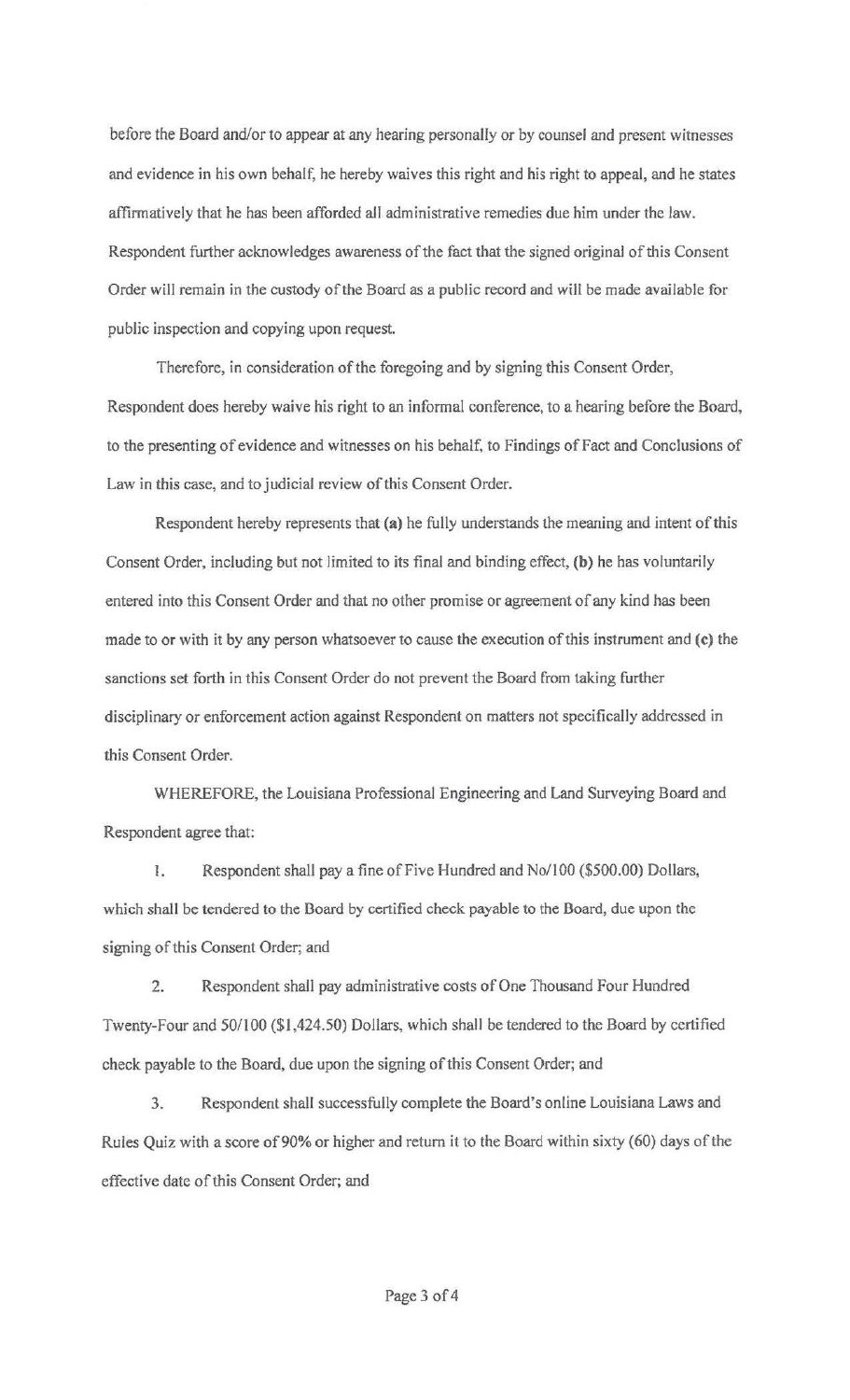before the Board and/or to appear at any hearing personally or by counsel and present witnesses and evidence in his own behalf, he hereby waives this right and his right to appeal, and he states affirmatively that he has been afforded all administrative remedies due him under the law. Respondent further acknowledges awareness of the fact that the signed original of this Consent Order will remain in the custody of the Board as a public record and will be made available for public inspection and copying upon request.

Therefore, in consideration of the foregoing and by signing this Consent Order, Respondent does hereby waive his right to an informal conference, to a hearing before the Board, to the presenting of evidence and witnesses on his behalf, to Findings of Fact and Conclusions of Law in this case, and to judicial review of this Consent Order.

Respondent hereby represents that **(a)** he fully understands the meaning and intent of this Consent Order, including but not limited to its final and binding effect, **(b)** he has voluntarily entered into this Consent Order and that no other promise or agreement of any kind has been made to or with it by any person whatsoever to cause the execution of this instrument and **(c)** the sanctions set forth in this Consent Order do not prevent the Board from taking further disciplinary or enforcement action against Respondent on matters not specifically addressed in this Consent Order.

WHEREFORE, the Louisiana Professional Engineering and Land Surveying Board and Respondent agree that:

1. Respondent shall pay a fine of Five Hundred and No/100 (\$500.00) Dollars, which shall be tendered to the Doard by certified check payable to the Board, due upon the signing of this Consent Order; and

2. Respondent shall pay administrative costs of One Thousand Four Hundred Twenty-Four and 50/100 (\$1,424.50) Dollars, which shall be tendered to the Board by certified check payable to the Board, due upon the signing of this Consent Order; and

3. Respondent shall successfully complete the Board's online Louisiana Laws and Rules Quiz with a score of 90% or higher and return it to the Board within sixty (60) days of the effective date of this Consent Order; and